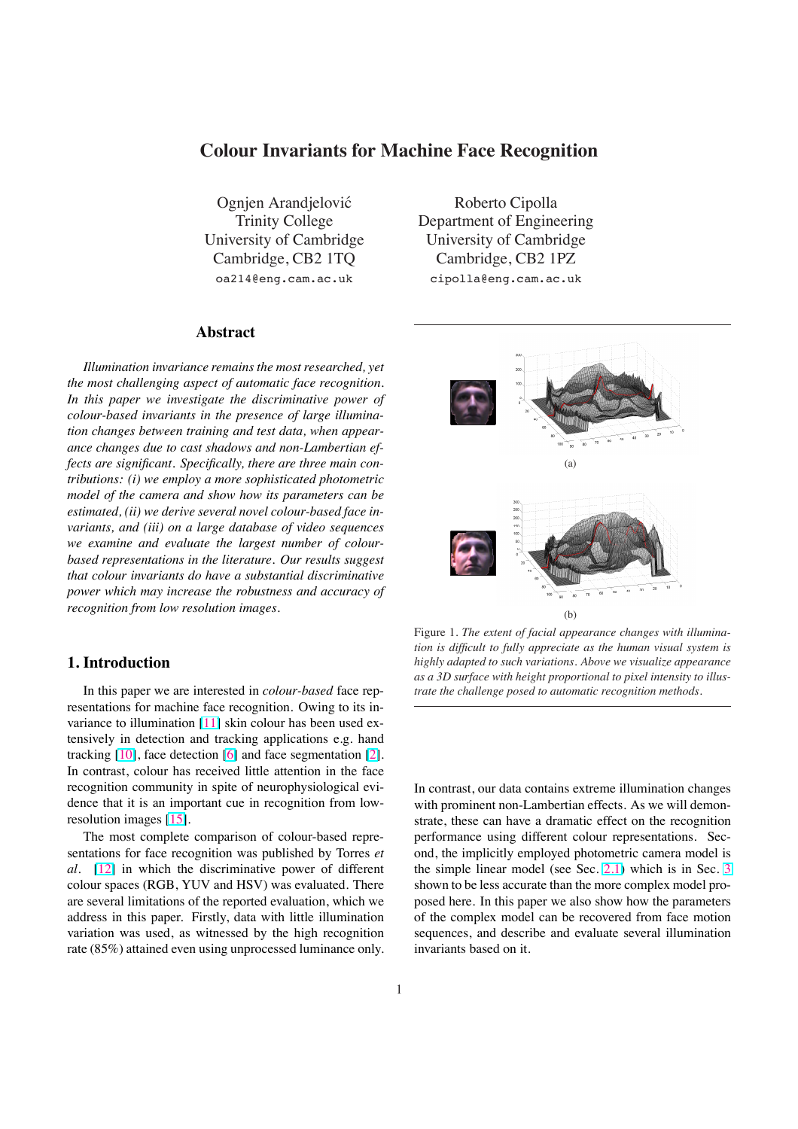# <span id="page-0-0"></span>**Colour Invariants for Machine Face Recognition**

Ognjen Arandjelovic´ Trinity College University of Cambridge Cambridge, CB2 1TQ oa214@eng.cam.ac.uk

## **Abstract**

*Illumination invariance remains the most researched, yet the most challenging aspect of automatic face recognition. In this paper we investigate the discriminative power of colour-based invariants in the presence of large illumination changes between training and test data, when appearance changes due to cast shadows and non-Lambertian effects are significant. Specifically, there are three main contributions: (i) we employ a more sophisticated photometric model of the camera and show how its parameters can be estimated, (ii) we derive several novel colour-based face invariants, and (iii) on a large database of video sequences we examine and evaluate the largest number of colourbased representations in the literature. Our results suggest that colour invariants do have a substantial discriminative power which may increase the robustness and accuracy of recognition from low resolution images.*

## **1. Introduction**

In this paper we are interested in *colour-based* face representations for machine face recognition. Owing to its in-variance to illumination [\[11\]](#page-7-0) skin colour has been used extensively in detection and tracking applications e.g. hand tracking [\[10\]](#page-7-1), face detection [\[6\]](#page-7-2) and face segmentation [\[2\]](#page-7-3). In contrast, colour has received little attention in the face recognition community in spite of neurophysiological evidence that it is an important cue in recognition from lowresolution images [\[15\]](#page-7-4).

The most complete comparison of colour-based representations for face recognition was published by Torres *et al.* [\[12\]](#page-7-5) in which the discriminative power of different colour spaces (RGB, YUV and HSV) was evaluated. There are several limitations of the reported evaluation, which we address in this paper. Firstly, data with little illumination variation was used, as witnessed by the high recognition rate (85%) attained even using unprocessed luminance only.

Roberto Cipolla Department of Engineering University of Cambridge Cambridge, CB2 1PZ cipolla@eng.cam.ac.uk



Figure 1. *The extent of facial appearance changes with illumination is difficult to fully appreciate as the human visual system is highly adapted to such variations. Above we visualize appearance as a 3D surface with height proportional to pixel intensity to illustrate the challenge posed to automatic recognition methods.*

In contrast, our data contains extreme illumination changes with prominent non-Lambertian effects. As we will demonstrate, these can have a dramatic effect on the recognition performance using different colour representations. Second, the implicitly employed photometric camera model is the simple linear model (see Sec. [2.1\)](#page-1-0) which is in Sec. [3](#page-3-0) shown to be less accurate than the more complex model proposed here. In this paper we also show how the parameters of the complex model can be recovered from face motion sequences, and describe and evaluate several illumination invariants based on it.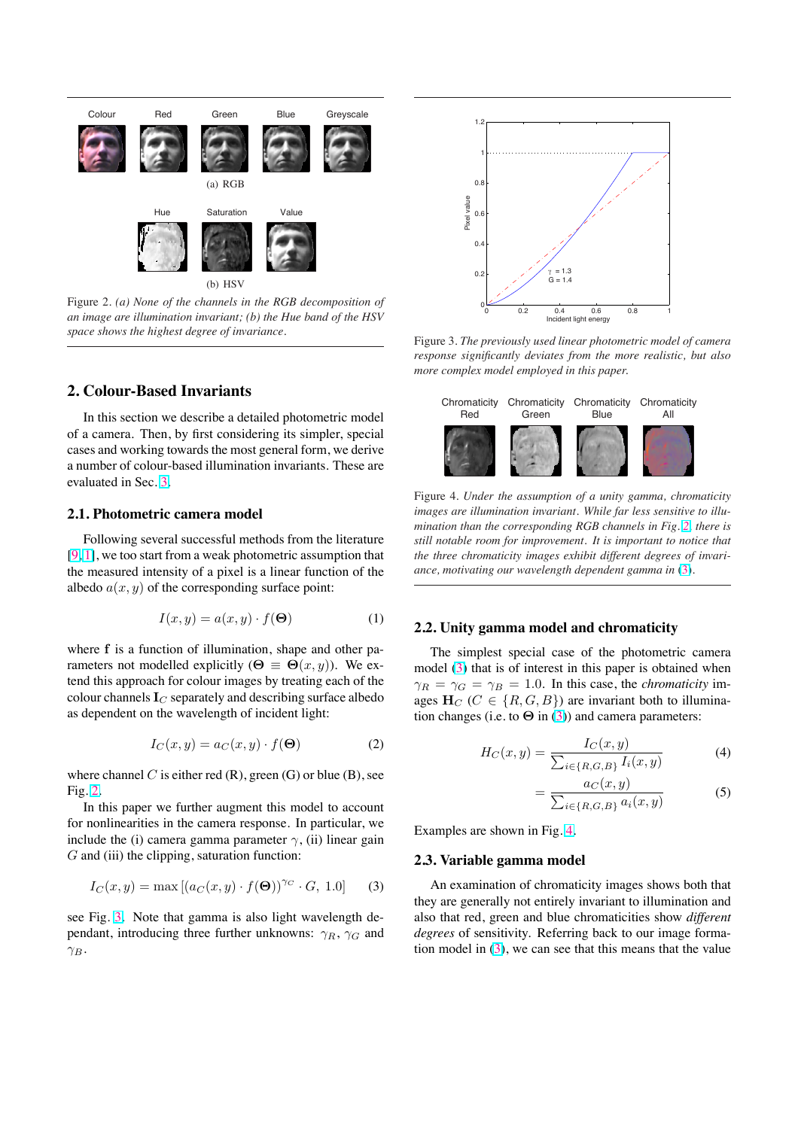<span id="page-1-8"></span>

<span id="page-1-2"></span><span id="page-1-1"></span>Figure 2. *(a) None of the channels in the RGB decomposition of an image are illumination invariant; (b) the Hue band of the HSV space shows the highest degree of invariance.*

## **2. Colour-Based Invariants**

<span id="page-1-4"></span>In this section we describe a detailed photometric model of a camera. Then, by first considering its simpler, special cases and working towards the most general form, we derive a number of colour-based illumination invariants. These are evaluated in Sec. [3.](#page-3-0)

### <span id="page-1-0"></span>**2.1. Photometric camera model**

<span id="page-1-5"></span>Following several successful methods from the literature  $[9, 1]$  $[9, 1]$  $[9, 1]$ , we too start from a weak photometric assumption that the measured intensity of a pixel is a linear function of the albedo  $a(x, y)$  of the corresponding surface point:

$$
I(x, y) = a(x, y) \cdot f(\Theta) \tag{1}
$$

<span id="page-1-6"></span>where f is a function of illumination, shape and other parameters not modelled explicitly ( $\Theta \equiv \Theta(x, y)$ ). We extend this approach for colour images by treating each of the colour channels  $\mathbf{I}_C$  separately and describing surface albedo as dependent on the wavelength of incident light:

$$
I_C(x, y) = a_C(x, y) \cdot f(\Theta)
$$
 (2)

where channel C is either red  $(R)$ , green  $(G)$  or blue  $(B)$ , see Fig. [2.](#page-1-1)

<span id="page-1-7"></span><span id="page-1-3"></span>In this paper we further augment this model to account for nonlinearities in the camera response. In particular, we include the (i) camera gamma parameter  $\gamma$ , (ii) linear gain  $G$  and (iii) the clipping, saturation function:

$$
I_C(x, y) = \max [(a_C(x, y) \cdot f(\Theta))^{\gamma_C} \cdot G, 1.0]
$$
 (3)

see Fig. [3.](#page-1-2) Note that gamma is also light wavelength dependant, introducing three further unknowns:  $\gamma_R$ ,  $\gamma_G$  and  $\gamma_B$ .



Figure 3. *The previously used linear photometric model of camera response significantly deviates from the more realistic, but also more complex model employed in this paper.*



Figure 4. *Under the assumption of a unity gamma, chromaticity images are illumination invariant. While far less sensitive to illumination than the corresponding RGB channels in Fig. [2,](#page-1-1) there is still notable room for improvement. It is important to notice that the three chromaticity images exhibit different degrees of invariance, motivating our wavelength dependent gamma in* [\(3\)](#page-1-3)*.*

#### **2.2. Unity gamma model and chromaticity**

The simplest special case of the photometric camera model [\(3\)](#page-1-3) that is of interest in this paper is obtained when  $\gamma_R = \gamma_G = \gamma_B = 1.0$ . In this case, the *chromaticity* images  $H_C$  ( $C \in \{R, G, B\}$ ) are invariant both to illumination changes (i.e. to  $\Theta$  in [\(3\)](#page-1-3)) and camera parameters:

$$
H_C(x,y) = \frac{I_C(x,y)}{\sum_{i \in \{R,G,B\}} I_i(x,y)}
$$
(4)

$$
= \frac{a_C(x, y)}{\sum_{i \in \{R, G, B\}} a_i(x, y)}
$$
(5)

Examples are shown in Fig. [4.](#page-1-4)

#### **2.3. Variable gamma model**

An examination of chromaticity images shows both that they are generally not entirely invariant to illumination and also that red, green and blue chromaticities show *different degrees* of sensitivity. Referring back to our image formation model in  $(3)$ , we can see that this means that the value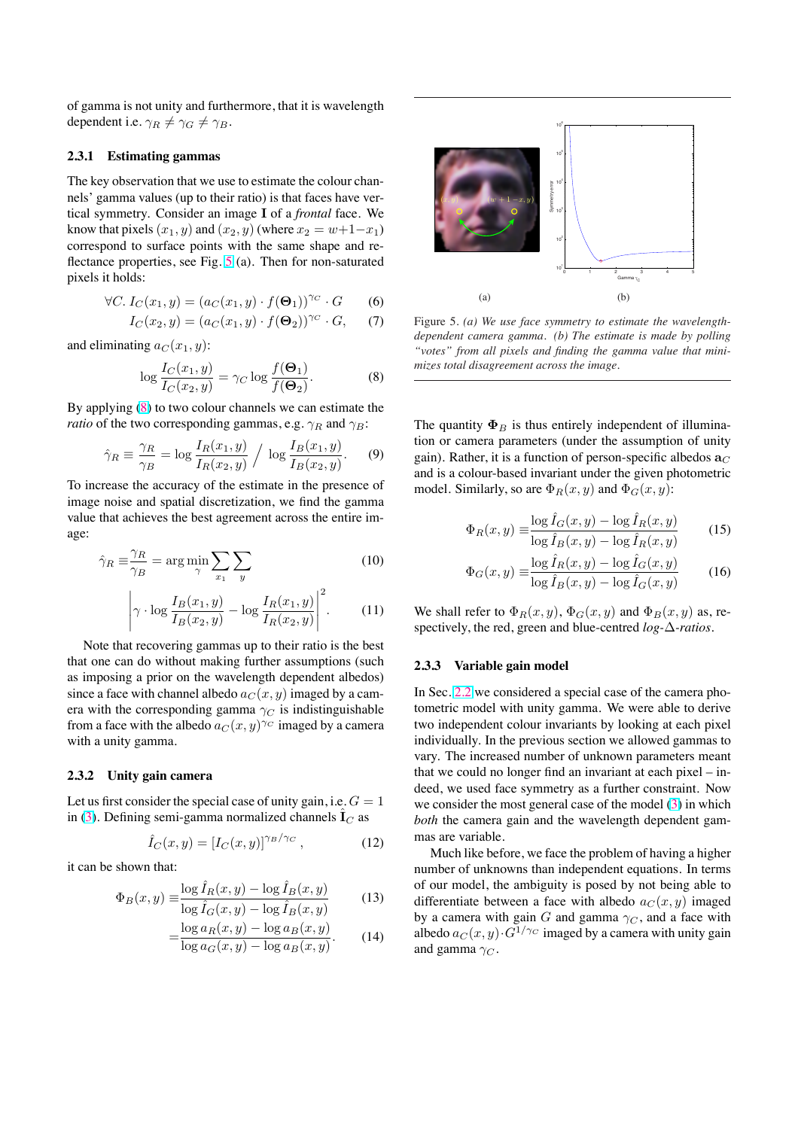of gamma is not unity and furthermore, that it is wavelength dependent i.e.  $\gamma_R \neq \gamma_G \neq \gamma_B$ .

## **2.3.1 Estimating gammas**

The key observation that we use to estimate the colour channels' gamma values (up to their ratio) is that faces have vertical symmetry. Consider an image I of a *frontal* face. We know that pixels  $(x_1, y)$  and  $(x_2, y)$  (where  $x_2 = w+1-x_1$ ) correspond to surface points with the same shape and reflectance properties, see Fig. [5](#page-2-0) (a). Then for non-saturated pixels it holds:

$$
\forall C. \ I_C(x_1, y) = (a_C(x_1, y) \cdot f(\Theta_1))^{\gamma_C} \cdot G \qquad (6)
$$

$$
I_C(x_2, y) = (a_C(x_1, y) \cdot f(\mathbf{\Theta}_2))^{\gamma_C} \cdot G, \quad (7)
$$

<span id="page-2-1"></span><span id="page-2-0"></span>and eliminating  $a_C(x_1, y)$ :

$$
\log \frac{I_C(x_1, y)}{I_C(x_2, y)} = \gamma_C \log \frac{f(\Theta_1)}{f(\Theta_2)}.
$$
 (8)

By applying [\(8\)](#page-2-1) to two colour channels we can estimate the *ratio* of the two corresponding gammas, e.g.  $\gamma_R$  and  $\gamma_B$ :

$$
\hat{\gamma}_R \equiv \frac{\gamma_R}{\gamma_B} = \log \frac{I_R(x_1, y)}{I_R(x_2, y)} / \log \frac{I_B(x_1, y)}{I_B(x_2, y)}.
$$
 (9)

To increase the accuracy of the estimate in the presence of image noise and spatial discretization, we find the gamma value that achieves the best agreement across the entire image:

$$
\hat{\gamma}_R \equiv \frac{\gamma_R}{\gamma_B} = \arg\min_{\gamma} \sum_{x_1} \sum_{y}
$$
 (10)

$$
\left| \gamma \cdot \log \frac{I_B(x_1, y)}{I_B(x_2, y)} - \log \frac{I_R(x_1, y)}{I_R(x_2, y)} \right|^2.
$$
 (11)

<span id="page-2-4"></span>Note that recovering gammas up to their ratio is the best that one can do without making further assumptions (such as imposing a prior on the wavelength dependent albedos) since a face with channel albedo  $a<sub>C</sub>(x, y)$  imaged by a camera with the corresponding gamma  $\gamma_C$  is indistinguishable from a face with the albedo  $a_C(x, y)^{\gamma_C}$  imaged by a camera with a unity gamma.

### <span id="page-2-3"></span>**2.3.2 Unity gain camera**

Let us first consider the special case of unity gain, i.e.  $G = 1$ in [\(3\)](#page-1-3). Defining semi-gamma normalized channels  $\hat{I}_C$  as

$$
\hat{I}_C(x,y) = \left[I_C(x,y)\right]^{\gamma_B/\gamma_C},\tag{12}
$$

<span id="page-2-2"></span>it can be shown that:

$$
\Phi_B(x, y) \equiv \frac{\log \hat{I}_R(x, y) - \log \hat{I}_B(x, y)}{\log \hat{I}_G(x, y) - \log \hat{I}_B(x, y)}
$$
(13)

$$
=\frac{\log a_R(x,y) - \log a_B(x,y)}{\log a_G(x,y) - \log a_B(x,y)}.
$$
 (14)



Figure 5. *(a) We use face symmetry to estimate the wavelengthdependent camera gamma. (b) The estimate is made by polling "votes" from all pixels and finding the gamma value that minimizes total disagreement across the image.*

The quantity  $\Phi_B$  is thus entirely independent of illumination or camera parameters (under the assumption of unity gain). Rather, it is a function of person-specific albedos  $a<sub>C</sub>$ and is a colour-based invariant under the given photometric model. Similarly, so are  $\Phi_R(x, y)$  and  $\Phi_G(x, y)$ :

$$
\Phi_R(x,y) \equiv \frac{\log \hat{I}_G(x,y) - \log \hat{I}_R(x,y)}{\log \hat{I}_B(x,y) - \log \hat{I}_R(x,y)}\tag{15}
$$

$$
\Phi_G(x,y) \equiv \frac{\log \hat{I}_R(x,y) - \log \hat{I}_G(x,y)}{\log \hat{I}_B(x,y) - \log \hat{I}_G(x,y)}\tag{16}
$$

We shall refer to  $\Phi_R(x, y)$ ,  $\Phi_G(x, y)$  and  $\Phi_B(x, y)$  as, respectively, the red, green and blue-centred *log-*∆*-ratios*.

### **2.3.3 Variable gain model**

In Sec. [2.2](#page-1-5) we considered a special case of the camera photometric model with unity gamma. We were able to derive two independent colour invariants by looking at each pixel individually. In the previous section we allowed gammas to vary. The increased number of unknown parameters meant that we could no longer find an invariant at each pixel – indeed, we used face symmetry as a further constraint. Now we consider the most general case of the model  $(3)$  in which *both* the camera gain and the wavelength dependent gammas are variable.

Much like before, we face the problem of having a higher number of unknowns than independent equations. In terms of our model, the ambiguity is posed by not being able to differentiate between a face with albedo  $a<sub>C</sub>(x, y)$  imaged by a camera with gain G and gamma  $\gamma_C$ , and a face with albedo  $a_C(x, y) \cdot G^{1/\gamma_C}$  imaged by a camera with unity gain and gamma  $\gamma_C$ .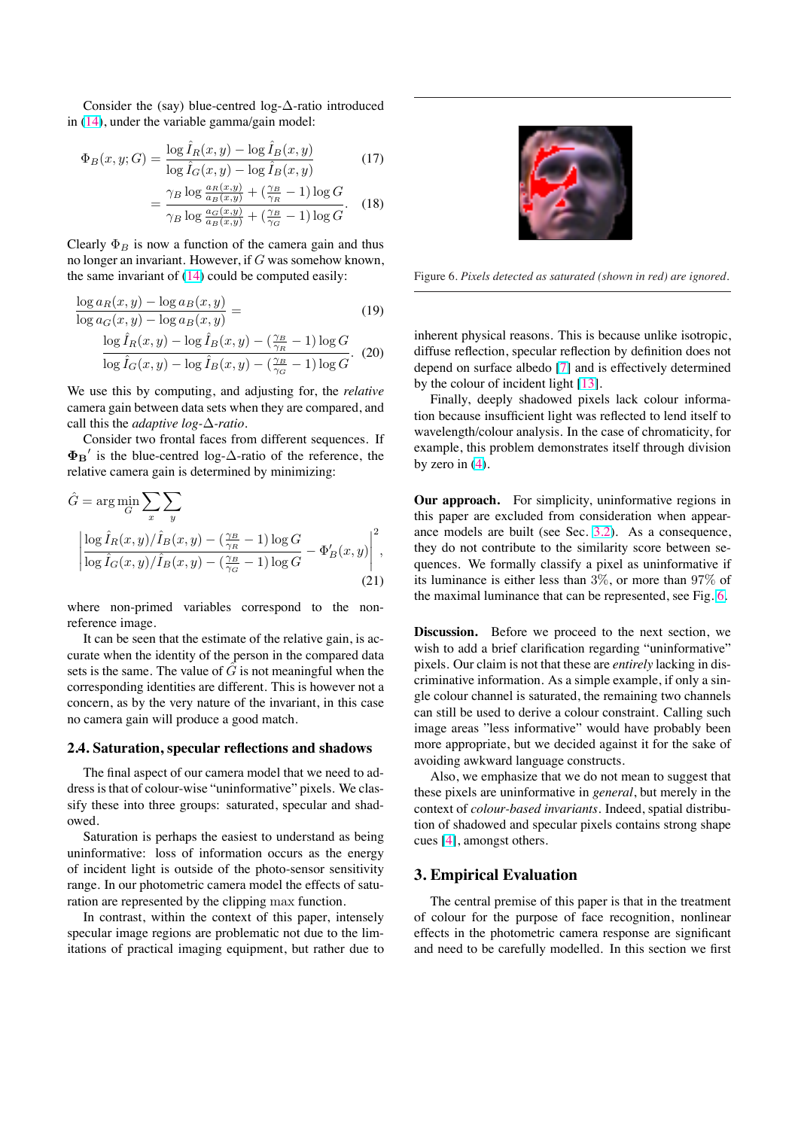<span id="page-3-3"></span>Consider the (say) blue-centred log-∆-ratio introduced in [\(14\)](#page-2-2), under the variable gamma/gain model:

$$
\Phi_B(x, y; G) = \frac{\log \hat{I}_R(x, y) - \log \hat{I}_B(x, y)}{\log \hat{I}_G(x, y) - \log \hat{I}_B(x, y)}
$$
(17)

$$
= \frac{\gamma_B \log \frac{a_R(x,y)}{a_B(x,y)} + (\frac{\gamma_B}{\gamma_R} - 1) \log G}{\gamma_B \log \frac{a_G(x,y)}{a_B(x,y)} + (\frac{\gamma_B}{\gamma_G} - 1) \log G}.
$$
 (18)

<span id="page-3-1"></span>Clearly  $\Phi_B$  is now a function of the camera gain and thus no longer an invariant. However, if G was somehow known, the same invariant of [\(14\)](#page-2-2) could be computed easily:

$$
\frac{\log a_R(x, y) - \log a_B(x, y)}{\log a_G(x, y) - \log a_B(x, y)} = \n\begin{array}{l}\n\log \hat{I}_R(x, y) - \log \hat{I}_B(x, y) - \left(\frac{\gamma_B}{\gamma_B} - 1\right) \log G \\
\frac{\log \hat{I}_R(x, y) - \log \hat{I}_B(x, y) - \left(\frac{\gamma_B}{\gamma_G} - 1\right) \log G}{\log \hat{I}_G(x, y) - \log \hat{I}_B(x, y) - \left(\frac{\gamma_B}{\gamma_G} - 1\right) \log G}.\n\end{array}
$$
\n(19)

We use this by computing, and adjusting for, the *relative* camera gain between data sets when they are compared, and call this the *adaptive log-*∆*-ratio*.

Consider two frontal faces from different sequences. If  $\Phi_{\rm B}$ <sup>'</sup> is the blue-centred log- $\Delta$ -ratio of the reference, the relative camera gain is determined by minimizing:

$$
\hat{G} = \arg\min_{G} \sum_{x} \sum_{y} \left| \frac{\log \hat{I}_R(x, y) / \hat{I}_B(x, y) - (\frac{\gamma_B}{\gamma_B} - 1) \log G}{\log \hat{I}_G(x, y) / \hat{I}_B(x, y) - (\frac{\gamma_B}{\gamma_G} - 1) \log G} - \Phi_B'(x, y) \right|^2, \tag{21}
$$

where non-primed variables correspond to the nonreference image.

It can be seen that the estimate of the relative gain, is accurate when the identity of the person in the compared data sets is the same. The value of  $\hat{G}$  is not meaningful when the corresponding identities are different. This is however not a concern, as by the very nature of the invariant, in this case no camera gain will produce a good match.

#### <span id="page-3-2"></span>**2.4. Saturation, specular reflections and shadows**

The final aspect of our camera model that we need to address is that of colour-wise "uninformative" pixels. We classify these into three groups: saturated, specular and shadowed.

<span id="page-3-0"></span>Saturation is perhaps the easiest to understand as being uninformative: loss of information occurs as the energy of incident light is outside of the photo-sensor sensitivity range. In our photometric camera model the effects of saturation are represented by the clipping max function.

In contrast, within the context of this paper, intensely specular image regions are problematic not due to the limitations of practical imaging equipment, but rather due to



Figure 6. *Pixels detected as saturated (shown in red) are ignored.*

inherent physical reasons. This is because unlike isotropic, diffuse reflection, specular reflection by definition does not depend on surface albedo [\[7\]](#page-7-8) and is effectively determined by the colour of incident light [\[13\]](#page-7-9).

Finally, deeply shadowed pixels lack colour information because insufficient light was reflected to lend itself to wavelength/colour analysis. In the case of chromaticity, for example, this problem demonstrates itself through division by zero in  $(4)$ .

**Our approach.** For simplicity, uninformative regions in this paper are excluded from consideration when appearance models are built (see Sec. [3.2\)](#page-4-0). As a consequence, they do not contribute to the similarity score between sequences. We formally classify a pixel as uninformative if its luminance is either less than 3%, or more than 97% of the maximal luminance that can be represented, see Fig. [6.](#page-3-1)

**Discussion.** Before we proceed to the next section, we wish to add a brief clarification regarding "uninformative" pixels. Our claim is not that these are *entirely* lacking in discriminative information. As a simple example, if only a single colour channel is saturated, the remaining two channels can still be used to derive a colour constraint. Calling such image areas "less informative" would have probably been more appropriate, but we decided against it for the sake of avoiding awkward language constructs.

Also, we emphasize that we do not mean to suggest that these pixels are uninformative in *general*, but merely in the context of *colour-based invariants*. Indeed, spatial distribution of shadowed and specular pixels contains strong shape cues [\[4\]](#page-7-10), amongst others.

## **3. Empirical Evaluation**

The central premise of this paper is that in the treatment of colour for the purpose of face recognition, nonlinear effects in the photometric camera response are significant and need to be carefully modelled. In this section we first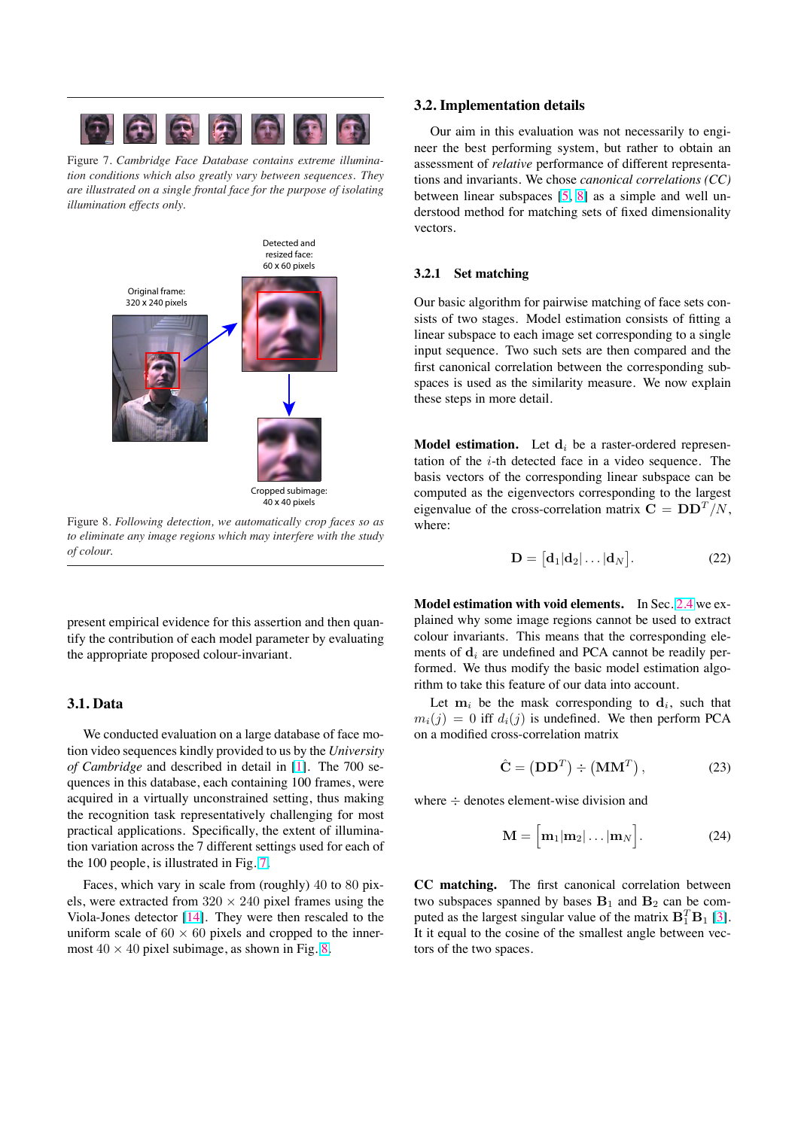<span id="page-4-1"></span><span id="page-4-0"></span>

Figure 7. *Cambridge Face Database contains extreme illumination conditions which also greatly vary between sequences. They are illustrated on a single frontal face for the purpose of isolating illumination effects only.*



<span id="page-4-2"></span>Figure 8. *Following detection, we automatically crop faces so as to eliminate any image regions which may interfere with the study of colour.*

present empirical evidence for this assertion and then quantify the contribution of each model parameter by evaluating the appropriate proposed colour-invariant.

## **3.1. Data**

We conducted evaluation on a large database of face motion video sequences kindly provided to us by the *University of Cambridge* and described in detail in [\[1\]](#page-7-7). The 700 sequences in this database, each containing 100 frames, were acquired in a virtually unconstrained setting, thus making the recognition task representatively challenging for most practical applications. Specifically, the extent of illumination variation across the 7 different settings used for each of the 100 people, is illustrated in Fig. [7.](#page-4-1)

Faces, which vary in scale from (roughly) 40 to 80 pixels, were extracted from  $320 \times 240$  pixel frames using the Viola-Jones detector [\[14\]](#page-7-11). They were then rescaled to the uniform scale of  $60 \times 60$  pixels and cropped to the innermost  $40 \times 40$  pixel subimage, as shown in Fig. [8.](#page-4-2)

#### **3.2. Implementation details**

Our aim in this evaluation was not necessarily to engineer the best performing system, but rather to obtain an assessment of *relative* performance of different representations and invariants. We chose *canonical correlations (CC)* between linear subspaces [\[5,](#page-7-12) [8\]](#page-7-13) as a simple and well understood method for matching sets of fixed dimensionality vectors.

### **3.2.1 Set matching**

Our basic algorithm for pairwise matching of face sets consists of two stages. Model estimation consists of fitting a linear subspace to each image set corresponding to a single input sequence. Two such sets are then compared and the first canonical correlation between the corresponding subspaces is used as the similarity measure. We now explain these steps in more detail.

**Model estimation.** Let  $\mathbf{d}_i$  be a raster-ordered representation of the  $i$ -th detected face in a video sequence. The basis vectors of the corresponding linear subspace can be computed as the eigenvectors corresponding to the largest eigenvalue of the cross-correlation matrix  $C = DD<sup>T</sup>/N$ , where:

$$
\mathbf{D} = [\mathbf{d}_1 | \mathbf{d}_2 | \dots | \mathbf{d}_N]. \tag{22}
$$

**Model estimation with void elements.** In Sec. [2.4](#page-3-2) we explained why some image regions cannot be used to extract colour invariants. This means that the corresponding elements of  $\mathbf{d}_i$  are undefined and PCA cannot be readily performed. We thus modify the basic model estimation algorithm to take this feature of our data into account.

Let  $m_i$  be the mask corresponding to  $d_i$ , such that  $m_i(j)=0$  iff  $d_i(j)$  is undefined. We then perform PCA on a modified cross-correlation matrix

$$
\hat{\mathbf{C}} = (\mathbf{D}\mathbf{D}^T) \div (\mathbf{M}\mathbf{M}^T), \tag{23}
$$

where  $\div$  denotes element-wise division and

$$
\mathbf{M} = \Big[ \mathbf{m}_1 | \mathbf{m}_2 | \dots | \mathbf{m}_N \Big]. \tag{24}
$$

**CC matching.** The first canonical correlation between two subspaces spanned by bases  $B_1$  and  $B_2$  can be computed as the largest singular value of the matrix  $\mathbf{B}_1^T \mathbf{B}_1$  [\[3\]](#page-7-14). It it equal to the cosine of the smallest angle between vectors of the two spaces.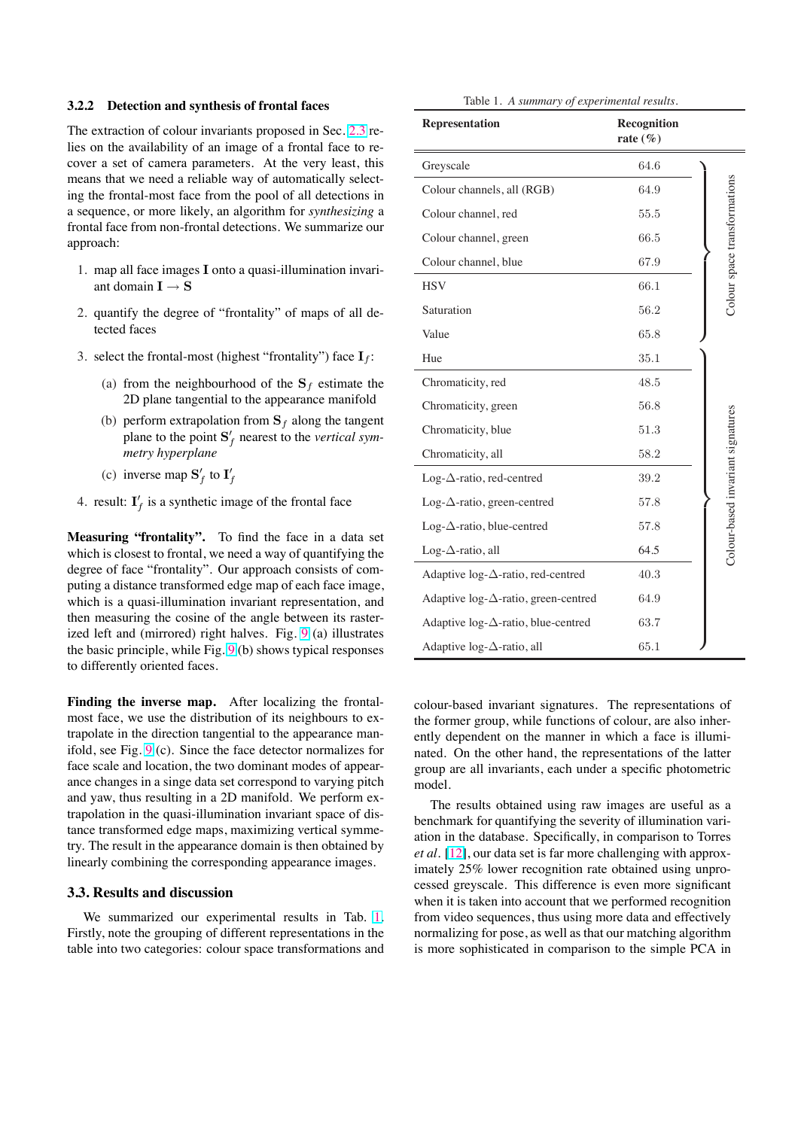#### <span id="page-5-1"></span><span id="page-5-0"></span>**3.2.2 Detection and synthesis of frontal faces**

The extraction of colour invariants proposed in Sec. [2.3](#page-1-7) relies on the availability of an image of a frontal face to recover a set of camera parameters. At the very least, this means that we need a reliable way of automatically selecting the frontal-most face from the pool of all detections in a sequence, or more likely, an algorithm for *synthesizing* a frontal face from non-frontal detections. We summarize our approach:

- 1. map all face images I onto a quasi-illumination invariant domain  $I \rightarrow S$
- 2. quantify the degree of "frontality" of maps of all detected faces
- 3. select the frontal-most (highest "frontality") face  $I_f$ :
	- (a) from the neighbourhood of the  $S_f$  estimate the 2D plane tangential to the appearance manifold
	- (b) perform extrapolation from  $S_f$  along the tangent plane to the point  $S_f'$  nearest to the *vertical symmetry hyperplane*
	- (c) inverse map  $\mathbf{S}'_f$  to  $\mathbf{I}'_f$
- 4. result:  $I'_f$  is a synthetic image of the frontal face

**Measuring "frontality".** To find the face in a data set which is closest to frontal, we need a way of quantifying the degree of face "frontality". Our approach consists of computing a distance transformed edge map of each face image, which is a quasi-illumination invariant representation, and then measuring the cosine of the angle between its rasterized left and (mirrored) right halves. Fig. [9](#page-6-0) (a) illustrates the basic principle, while Fig. [9](#page-6-0) (b) shows typical responses to differently oriented faces.

Finding the inverse map. After localizing the frontalmost face, we use the distribution of its neighbours to extrapolate in the direction tangential to the appearance manifold, see Fig. [9](#page-6-0) (c). Since the face detector normalizes for face scale and location, the two dominant modes of appearance changes in a singe data set correspond to varying pitch and yaw, thus resulting in a 2D manifold. We perform extrapolation in the quasi-illumination invariant space of distance transformed edge maps, maximizing vertical symmetry. The result in the appearance domain is then obtained by linearly combining the corresponding appearance images.

## **3.3. Results and discussion**

We summarized our experimental results in Tab. [1.](#page-5-0) Firstly, note the grouping of different representations in the table into two categories: colour space transformations and

| <b>Representation</b>                       | Recognition<br>rate $(\% )$ |                                   |
|---------------------------------------------|-----------------------------|-----------------------------------|
| Greyscale                                   | 64.6                        |                                   |
| Colour channels, all (RGB)                  | 64.9                        |                                   |
| Colour channel, red                         | 55.5                        |                                   |
| Colour channel, green                       | 66.5                        |                                   |
| Colour channel, blue                        | 67.9                        | Colour space transformations      |
| <b>HSV</b>                                  | 66.1                        |                                   |
| Saturation                                  | 56.2                        |                                   |
| Value                                       | 65.8                        |                                   |
| Hue                                         | 35.1                        |                                   |
| Chromaticity, red                           | 48.5                        |                                   |
| Chromaticity, green                         | 56.8                        |                                   |
| Chromaticity, blue                          | 51.3                        |                                   |
| Chromaticity, all                           | 58.2                        | Colour-based invariant signatures |
| Log- $\Delta$ -ratio, red-centred           | 39.2                        |                                   |
| Log- $\Delta$ -ratio, green-centred         | 57.8                        |                                   |
| Log- $\Delta$ -ratio, blue-centred          | 57.8                        |                                   |
| Log- $\Delta$ -ratio, all                   | 64.5                        |                                   |
| Adaptive log- $\Delta$ -ratio, red-centred  | 40.3                        |                                   |
| Adaptive $log-\Delta$ -ratio, green-centred | 64.9                        |                                   |
| Adaptive $log-\Delta$ -ratio, blue-centred  | 63.7                        |                                   |
| Adaptive $log-\Delta$ -ratio, all           | 65.1                        |                                   |

colour-based invariant signatures. The representations of the former group, while functions of colour, are also inherently dependent on the manner in which a face is illuminated. On the other hand, the representations of the latter group are all invariants, each under a specific photometric model.

The results obtained using raw images are useful as a benchmark for quantifying the severity of illumination variation in the database. Specifically, in comparison to Torres *et al.* [\[12\]](#page-7-5), our data set is far more challenging with approximately 25% lower recognition rate obtained using unprocessed greyscale. This difference is even more significant when it is taken into account that we performed recognition from video sequences, thus using more data and effectively normalizing for pose, as well as that our matching algorithm is more sophisticated in comparison to the simple PCA in

| Table 1. A summary of experimental results. |  |  |  |
|---------------------------------------------|--|--|--|
|---------------------------------------------|--|--|--|

 $\equiv$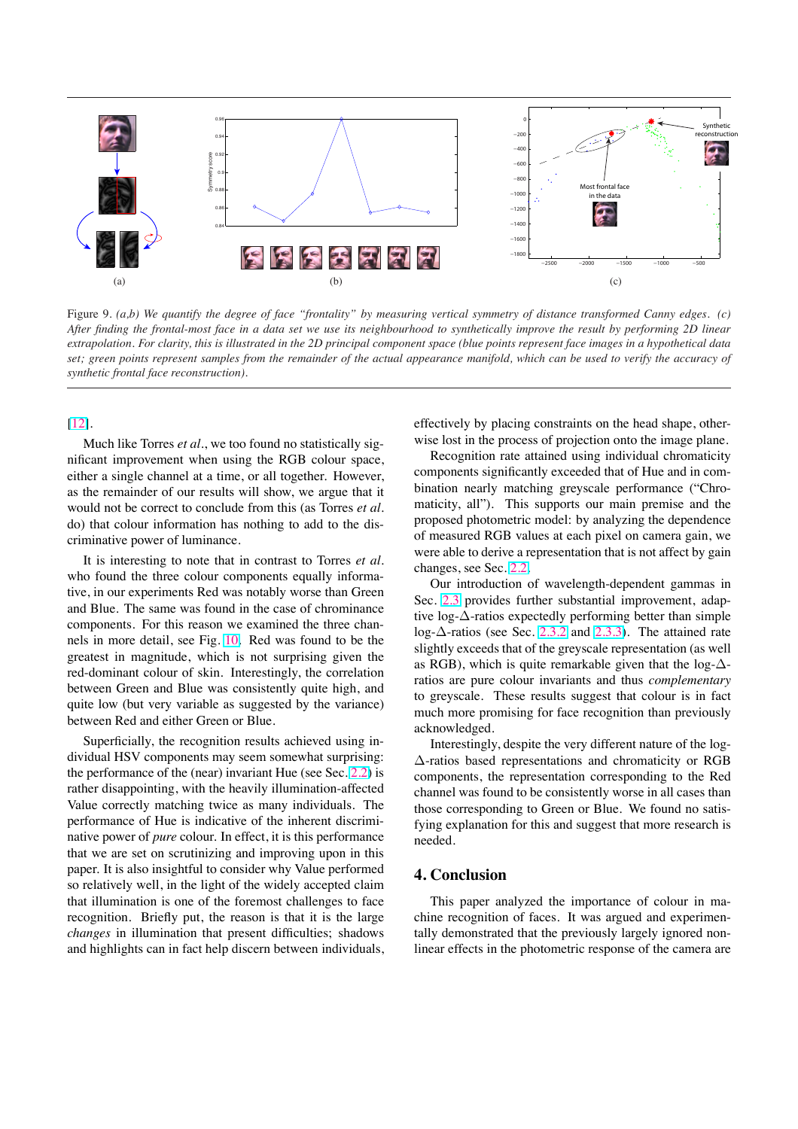<span id="page-6-1"></span>

<span id="page-6-0"></span>Figure 9. *(a,b) We quantify the degree of face "frontality" by measuring vertical symmetry of distance transformed Canny edges. (c) After finding the frontal-most face in a data set we use its neighbourhood to synthetically improve the result by performing 2D linear extrapolation. For clarity, this is illustrated in the 2D principal component space (blue points represent face images in a hypothetical data set; green points represent samples from the remainder of the actual appearance manifold, which can be used to verify the accuracy of synthetic frontal face reconstruction).*

### [\[12\]](#page-7-5).

Much like Torres *et al.*, we too found no statistically significant improvement when using the RGB colour space, either a single channel at a time, or all together. However, as the remainder of our results will show, we argue that it would not be correct to conclude from this (as Torres *et al.* do) that colour information has nothing to add to the discriminative power of luminance.

It is interesting to note that in contrast to Torres *et al.* who found the three colour components equally informative, in our experiments Red was notably worse than Green and Blue. The same was found in the case of chrominance components. For this reason we examined the three channels in more detail, see Fig. [10.](#page-7-1) Red was found to be the greatest in magnitude, which is not surprising given the red-dominant colour of skin. Interestingly, the correlation between Green and Blue was consistently quite high, and quite low (but very variable as suggested by the variance) between Red and either Green or Blue.

Superficially, the recognition results achieved using individual HSV components may seem somewhat surprising: the performance of the (near) invariant Hue (see Sec.  $2.2$ ) is rather disappointing, with the heavily illumination-affected Value correctly matching twice as many individuals. The performance of Hue is indicative of the inherent discriminative power of *pure* colour. In effect, it is this performance that we are set on scrutinizing and improving upon in this paper. It is also insightful to consider why Value performed so relatively well, in the light of the widely accepted claim that illumination is one of the foremost challenges to face recognition. Briefly put, the reason is that it is the large *changes* in illumination that present difficulties; shadows and highlights can in fact help discern between individuals, effectively by placing constraints on the head shape, otherwise lost in the process of projection onto the image plane.

Recognition rate attained using individual chromaticity components significantly exceeded that of Hue and in combination nearly matching greyscale performance ("Chromaticity, all"). This supports our main premise and the proposed photometric model: by analyzing the dependence of measured RGB values at each pixel on camera gain, we were able to derive a representation that is not affect by gain changes, see Sec. [2.2.](#page-1-5)

Our introduction of wavelength-dependent gammas in Sec. [2.3](#page-1-7) provides further substantial improvement, adaptive log-∆-ratios expectedly performing better than simple log-∆-ratios (see Sec. [2.3.2](#page-2-3) and [2.3.3\)](#page-2-4). The attained rate slightly exceeds that of the greyscale representation (as well as RGB), which is quite remarkable given that the log- $\Delta$ ratios are pure colour invariants and thus *complementary* to greyscale. These results suggest that colour is in fact much more promising for face recognition than previously acknowledged.

Interestingly, despite the very different nature of the log- ∆-ratios based representations and chromaticity or RGB components, the representation corresponding to the Red channel was found to be consistently worse in all cases than those corresponding to Green or Blue. We found no satisfying explanation for this and suggest that more research is needed.

## **4. Conclusion**

This paper analyzed the importance of colour in machine recognition of faces. It was argued and experimentally demonstrated that the previously largely ignored nonlinear effects in the photometric response of the camera are